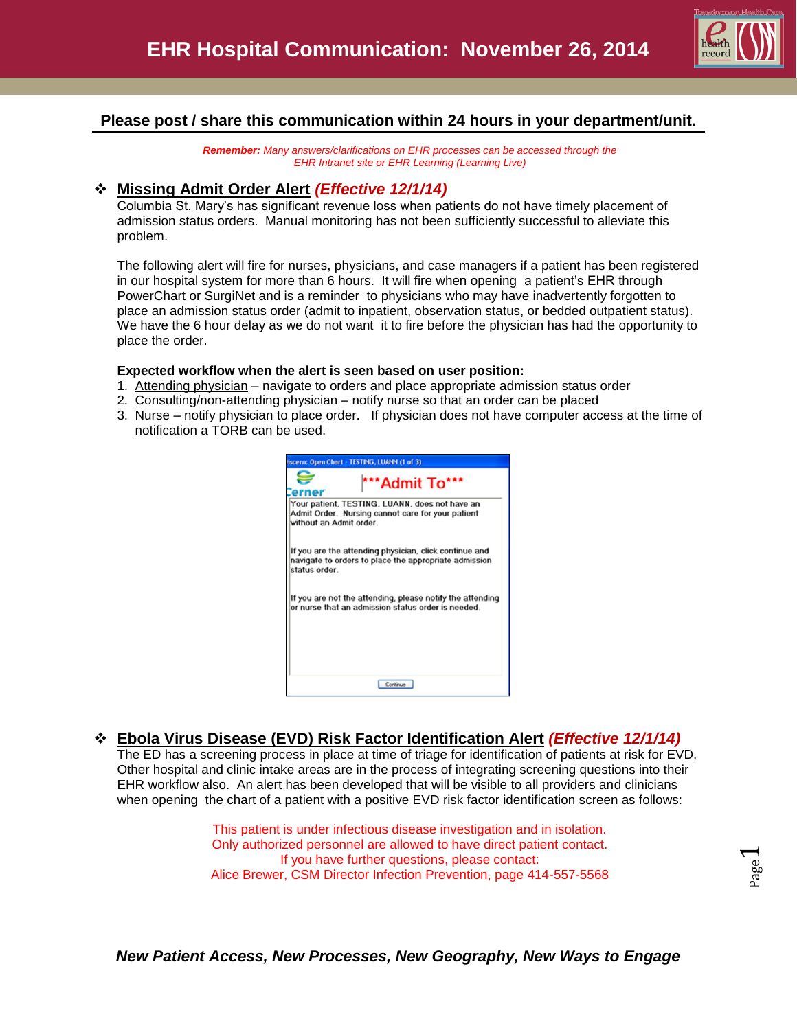

#### **Please post / share this communication within 24 hours in your department/unit.**

*Remember: Many answers/clarifications on EHR processes can be accessed through the EHR Intranet site or EHR Learning (Learning Live)*

#### **Missing Admit Order Alert** *(Effective 12/1/14)*

Columbia St. Mary's has significant revenue loss when patients do not have timely placement of admission status orders. Manual monitoring has not been sufficiently successful to alleviate this problem.

The following alert will fire for nurses, physicians, and case managers if a patient has been registered in our hospital system for more than 6 hours. It will fire when opening a patient's EHR through PowerChart or SurgiNet and is a reminder to physicians who may have inadvertently forgotten to place an admission status order (admit to inpatient, observation status, or bedded outpatient status). We have the 6 hour delay as we do not want it to fire before the physician has had the opportunity to place the order.

#### **Expected workflow when the alert is seen based on user position:**

- 1. Attending physician navigate to orders and place appropriate admission status order
- 2. Consulting/non-attending physician notify nurse so that an order can be placed
- 3. Nurse notify physician to place order. If physician does not have computer access at the time of notification a TORB can be used.



### **Ebola Virus Disease (EVD) Risk Factor Identification Alert** *(Effective 12/1/14)*

The ED has a screening process in place at time of triage for identification of patients at risk for EVD. Other hospital and clinic intake areas are in the process of integrating screening questions into their EHR workflow also. An alert has been developed that will be visible to all providers and clinicians when opening the chart of a patient with a positive EVD risk factor identification screen as follows:

> This patient is under infectious disease investigation and in isolation. Only authorized personnel are allowed to have direct patient contact. If you have further questions, please contact: Alice Brewer, CSM Director Infection Prevention, page 414-557-5568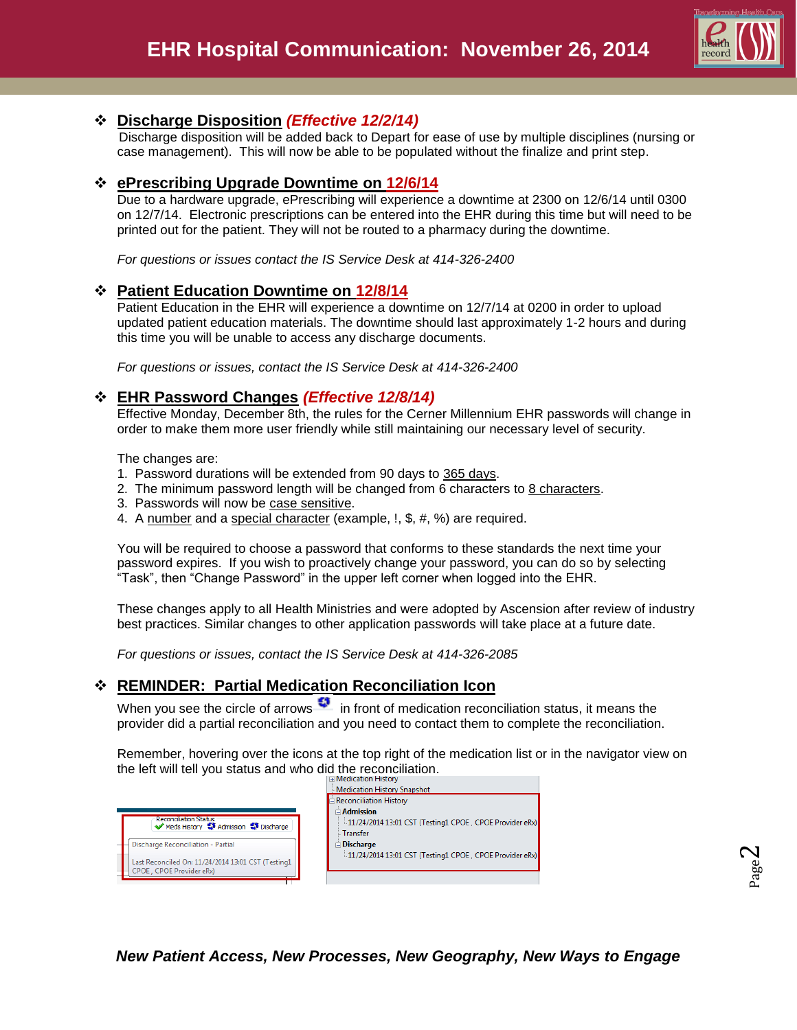

## **Discharge Disposition** *(Effective 12/2/14)*

 Discharge disposition will be added back to Depart for ease of use by multiple disciplines (nursing or case management). This will now be able to be populated without the finalize and print step.

### **ePrescribing Upgrade Downtime on 12/6/14**

Due to a hardware upgrade, ePrescribing will experience a downtime at 2300 on 12/6/14 until 0300 on 12/7/14. Electronic prescriptions can be entered into the EHR during this time but will need to be printed out for the patient. They will not be routed to a pharmacy during the downtime.

*For questions or issues contact the IS Service Desk at 414-326-2400*

### **Patient Education Downtime on 12/8/14**

Patient Education in the EHR will experience a downtime on 12/7/14 at 0200 in order to upload updated patient education materials. The downtime should last approximately 1-2 hours and during this time you will be unable to access any discharge documents.

*For questions or issues, contact the IS Service Desk at 414-326-2400*

### **EHR Password Changes** *(Effective 12/8/14)*

Effective Monday, December 8th, the rules for the Cerner Millennium EHR passwords will change in order to make them more user friendly while still maintaining our necessary level of security.

The changes are:

- 1. Password durations will be extended from 90 days to 365 days.
- 2. The minimum password length will be changed from 6 characters to 8 characters.
- 3. Passwords will now be case sensitive.
- 4. A number and a special character (example, !, \$, #, %) are required.

You will be required to choose a password that conforms to these standards the next time your password expires. If you wish to proactively change your password, you can do so by selecting "Task", then "Change Password" in the upper left corner when logged into the EHR.

These changes apply to all Health Ministries and were adopted by Ascension after review of industry best practices. Similar changes to other application passwords will take place at a future date.

*For questions or issues, contact the IS Service Desk at 414-326-2085*

### **REMINDER: Partial Medication Reconciliation Icon**

When you see the circle of arrows  $\ddot{\bullet}$  in front of medication reconciliation status, it means the provider did a partial reconciliation and you need to contact them to complete the reconciliation.

Remember, hovering over the icons at the top right of the medication list or in the navigator view on the left will tell you status and who did the reconciliation.